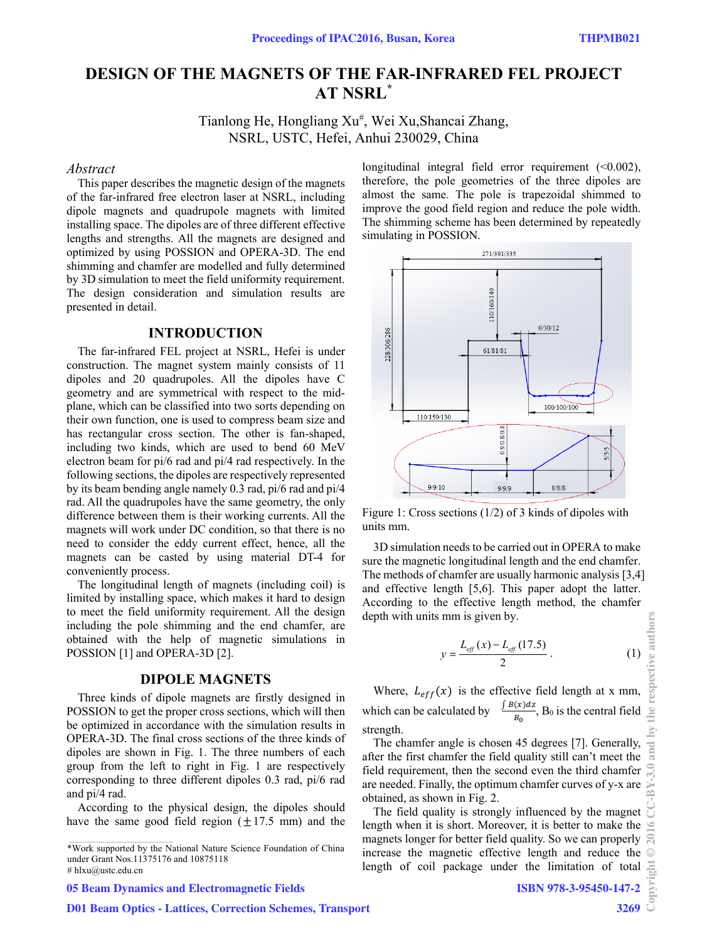# **DESIGN OF THE MAGNETS OF THE FAR-INFRARED FEL PROJECT AT NSRL\***

Tianlong He, Hongliang Xu<sup>#</sup>, Wei Xu,Shancai Zhang, NSRL, USTC, Hefei, Anhui 230029, China

#### *Abstract*

This paper describes the magnetic design of the magnets of the far-infrared free electron laser at NSRL, including dipole magnets and quadrupole magnets with limited installing space. The dipoles are of three different effective lengths and strengths. All the magnets are designed and optimized by using POSSION and OPERA-3D. The end shimming and chamfer are modelled and fully determined by 3D simulation to meet the field uniformity requirement. The design consideration and simulation results are presented in detail.

### **INTRODUCTION**

The far-infrared FEL project at NSRL, Hefei is under construction. The magnet system mainly consists of 11 dipoles and 20 quadrupoles. All the dipoles have C geometry and are symmetrical with respect to the midplane, which can be classified into two sorts depending on their own function, one is used to compress beam size and has rectangular cross section. The other is fan-shaped, including two kinds, which are used to bend 60 MeV electron beam for pi/6 rad and pi/4 rad respectively. In the following sections, the dipoles are respectively represented by its beam bending angle namely 0.3 rad, pi/6 rad and pi/4 rad. All the quadrupoles have the same geometry, the only difference between them is their working currents. All the magnets will work under DC condition, so that there is no need to consider the eddy current effect, hence, all the magnets can be casted by using material DT-4 for conveniently process.

The longitudinal length of magnets (including coil) is limited by installing space, which makes it hard to design to meet the field uniformity requirement. All the design including the pole shimming and the end chamfer, are obtained with the help of magnetic simulations in POSSION [1] and OPERA-3D [2].

### **DIPOLE MAGNETS**

Three kinds of dipole magnets are firstly designed in POSSION to get the proper cross sections, which will then be optimized in accordance with the simulation results in OPERA-3D. The final cross sections of the three kinds of dipoles are shown in Fig. 1. The three numbers of each group from the left to right in Fig. 1 are respectively corresponding to three different dipoles 0.3 rad, pi/6 rad and pi/4 rad.

According to the physical design, the dipoles should have the same good field region  $(\pm 17.5 \text{ mm})$  and the

# hlxu@ustc.edu.cn

05 Beam Dynamics and Electromagnetic Fields

longitudinal integral field error requirement (<0.002), therefore, the pole geometries of the three dipoles are almost the same. The pole is trapezoidal shimmed to improve the good field region and reduce the pole width. The shimming scheme has been determined by repeatedly simulating in POSSION.



Figure 1: Cross sections (1/2) of 3 kinds of dipoles with units mm.

3D simulation needs to be carried out in OPERA to make sure the magnetic longitudinal length and the end chamfer. The methods of chamfer are usually harmonic analysis [3,4] and effective length [5,6]. This paper adopt the latter. According to the effective length method, the chamfer depth with units mm is given by.

$$
y = \frac{L_{\text{eff}}(x) - L_{\text{eff}}(17.5)}{2} \,. \tag{1}
$$

Where,  $L_{eff}(x)$  is the effective field length at x mm, which can be calculated by  $\frac{\int B(x)dx}{B_0}$ , B<sub>0</sub> is the central field strength.

The chamfer angle is chosen 45 degrees [7]. Generally, after the first chamfer the field quality still can't meet the field requirement, then the second even the third chamfer are needed. Finally, the optimum chamfer curves of y-x are obtained, as shown in Fig. 2.

The field quality is strongly influenced by the magnet length when it is short. Moreover, it is better to make the magnets longer for better field quality. So we can properly increase the magnetic effective length and reduce the length of coil package under the limitation of total

#### ISBN 978-3-95450-147-2

<sup>\*</sup>Work supported by the National Nature Science Foundation of China under Grant Nos.11375176 and 10875118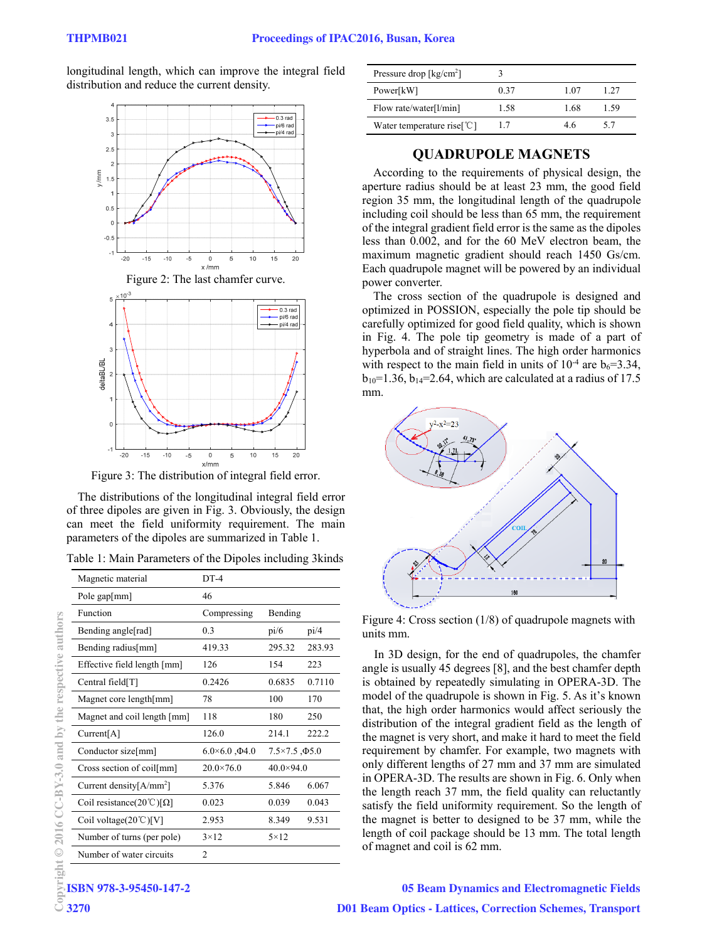longitudinal length, which can improve the integral field distribution and reduce the current density.





Figure 3: The distribution of integral field error.

The distributions of the longitudinal integral field error of three dipoles are given in Fig. 3. Obviously, the design can meet the field uniformity requirement. The main parameters of the dipoles are summarized in Table 1.

Table 1: Main Parameters of the Dipoles including 3kinds

| Magnetic material                 | $DT-4$                      |                               |        |
|-----------------------------------|-----------------------------|-------------------------------|--------|
| Pole gap[mm]                      | 46                          |                               |        |
| Function                          | Compressing                 | Bending                       |        |
| Bending angle[rad]                | 0.3                         | pi/6                          | pi/4   |
| Bending radius[mm]                | 419.33                      | 295.32                        | 283.93 |
| Effective field length [mm]       | 126                         | 154                           | 223    |
| Central field[T]                  | 0.2426                      | 0.6835                        | 0.7110 |
| Magnet core length[mm]            | 78                          | 100                           | 170    |
| Magnet and coil length [mm]       | 118                         | 180                           | 250    |
| Current[A]                        | 126.0                       | 214.1                         | 222.2  |
| Conductor size[mm]                | $6.0\times6.0$ , $\Phi$ 4.0 | $7.5 \times 7.5$ , $\Phi$ 5.0 |        |
| Cross section of coil[mm]         | $20.0 \times 76.0$          | $40.0 \times 94.0$            |        |
| Current density[ $A/mm^2$ ]       | 5.376                       | 5.846                         | 6.067  |
| Coil resistance(20°C)[ $\Omega$ ] | 0.023                       | 0.039                         | 0.043  |
| Coil voltage( $20^{\circ}$ C)[V]  | 2.953                       | 8.349                         | 9.531  |
| Number of turns (per pole)        | $3 \times 12$               | $5 \times 12$                 |        |
| Number of water circuits          | 2                           |                               |        |

| Pressure drop $\lceil \text{kg/cm}^2 \rceil$    |      |      |      |
|-------------------------------------------------|------|------|------|
| Power[kW]                                       | 0.37 | 1.07 | 1.27 |
| Flow rate/water[1/min]                          | 1.58 | 1.68 | 1.59 |
| Water temperature rise $\lceil \text{C} \rceil$ | 1.7  | 46   | 5.7  |

# **QUADRUPOLE MAGNETS**

According to the requirements of physical design, the aperture radius should be at least 23 mm, the good field region 35 mm, the longitudinal length of the quadrupole including coil should be less than 65 mm, the requirement of the integral gradient field error is the same as the dipoles less than 0.002, and for the 60 MeV electron beam, the maximum magnetic gradient should reach 1450 Gs/cm. Each quadrupole magnet will be powered by an individual power converter.

The cross section of the quadrupole is designed and optimized in POSSION, especially the pole tip should be carefully optimized for good field quality, which is shown in Fig. 4. The pole tip geometry is made of a part of hyperbola and of straight lines. The high order harmonics with respect to the main field in units of  $10^{-4}$  are  $b_6 = 3.34$ ,  $b_{10}=1.36$ ,  $b_{14}=2.64$ , which are calculated at a radius of 17.5 mm.



Figure 4: Cross section (1/8) of quadrupole magnets with units mm.

In 3D design, for the end of quadrupoles, the chamfer angle is usually 45 degrees [8], and the best chamfer depth is obtained by repeatedly simulating in OPERA-3D. The model of the quadrupole is shown in Fig. 5. As it's known that, the high order harmonics would affect seriously the distribution of the integral gradient field as the length of the magnet is very short, and make it hard to meet the field requirement by chamfer. For example, two magnets with only different lengths of 27 mm and 37 mm are simulated in OPERA-3D. The results are shown in Fig. 6. Only when the length reach 37 mm, the field quality can reluctantly satisfy the field uniformity requirement. So the length of the magnet is better to designed to be 37 mm, while the length of coil package should be 13 mm. The total length of magnet and coil is 62 mm.